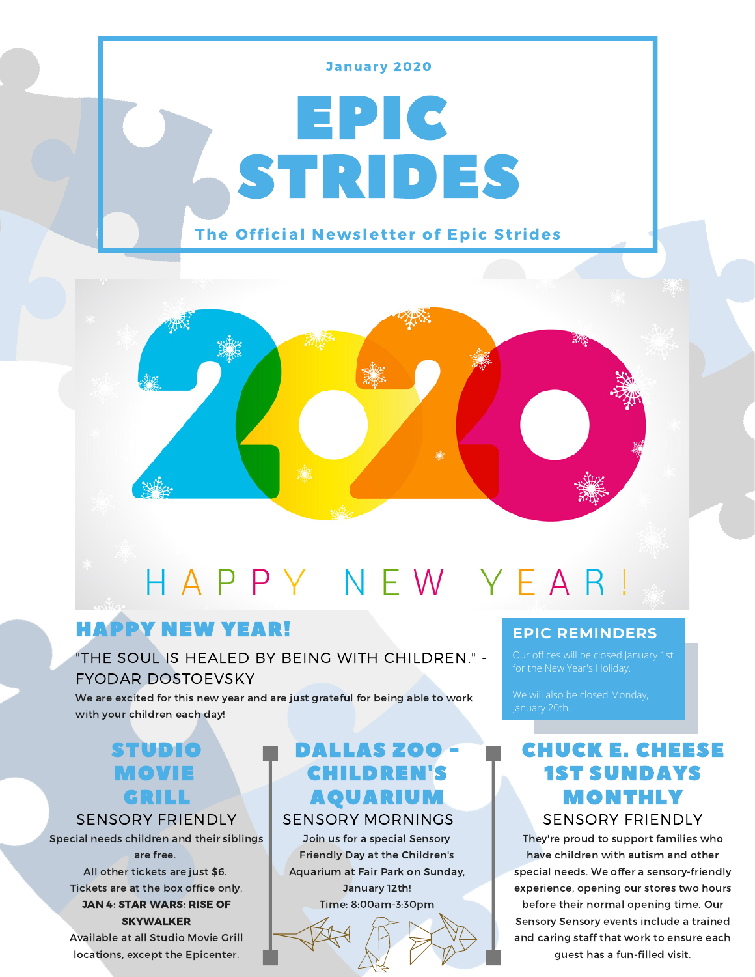

STRIDES

The Official Newsletter of Epic Strides

EPIC

# HAPPY NEW YEAR!

## HAPPY NEW YEAR!

## "THE SOUL IS HEALED BY BEING WITH CHILDREN." - FYODAR DOSTOEVSKY

We are excited for this new year and are just grateful for being able to work with your children each day!

## STUDIO MOVIE GRILL

Special needs children and their siblings

are free.

All other tickets are just \$6. Tickets are at the box office only. JAN 4: STAR WARS: RISE OF SKYWALKER

Available at all Studio Movie Grill locations, except the Epicenter.

## DALLAS ZOO - CHILDREN'S AQUARIUM

#### SENSORY FRIENDLY SENSORY MORNINGS SENSORY FRIENDLY

Join us for a special Sensory Friendly Day at the Children's Aquarium at Fair Park on Sunday, January 12th! Time: 8:00am-3:30pm

#### **EPIC REMINDERS**

We will also be closed Monday,

# CHUCK E. CHEESE 1ST SUNDAYS MONTHLY

They're proud to support families who have children with autism and other special needs. We offer a sensory-friendly experience, opening our stores two hours before their normal opening time. Our Sensory Sensory events include a trained and caring staff that work to ensure each guest has a fun-filled visit.